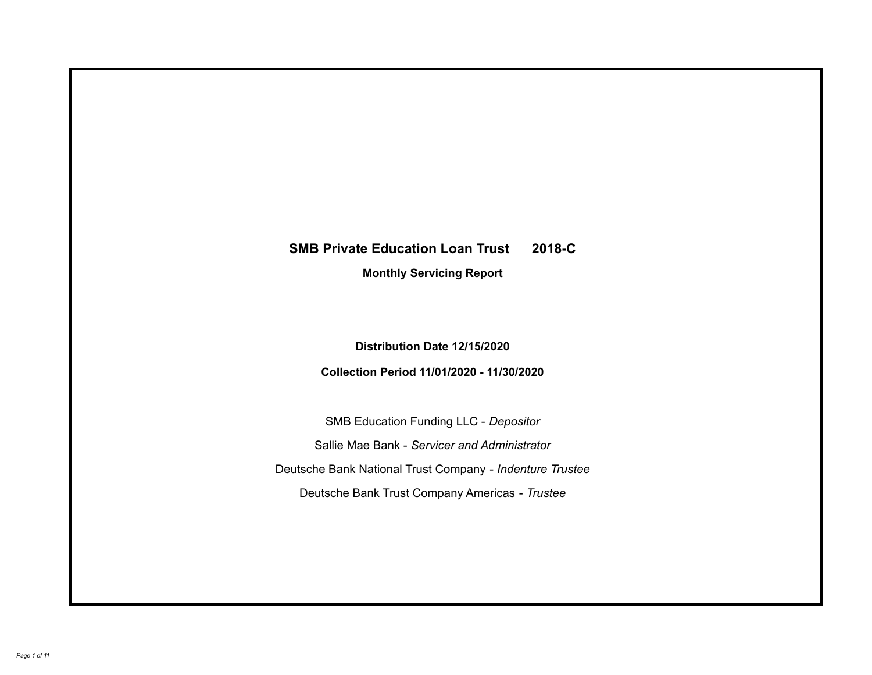# **SMB Private Education Loan Trust 2018-C Monthly Servicing Report**

**Distribution Date 12/15/2020**

**Collection Period 11/01/2020 - 11/30/2020**

SMB Education Funding LLC - *Depositor* Sallie Mae Bank - *Servicer and Administrator* Deutsche Bank National Trust Company - *Indenture Trustee* Deutsche Bank Trust Company Americas - *Trustee*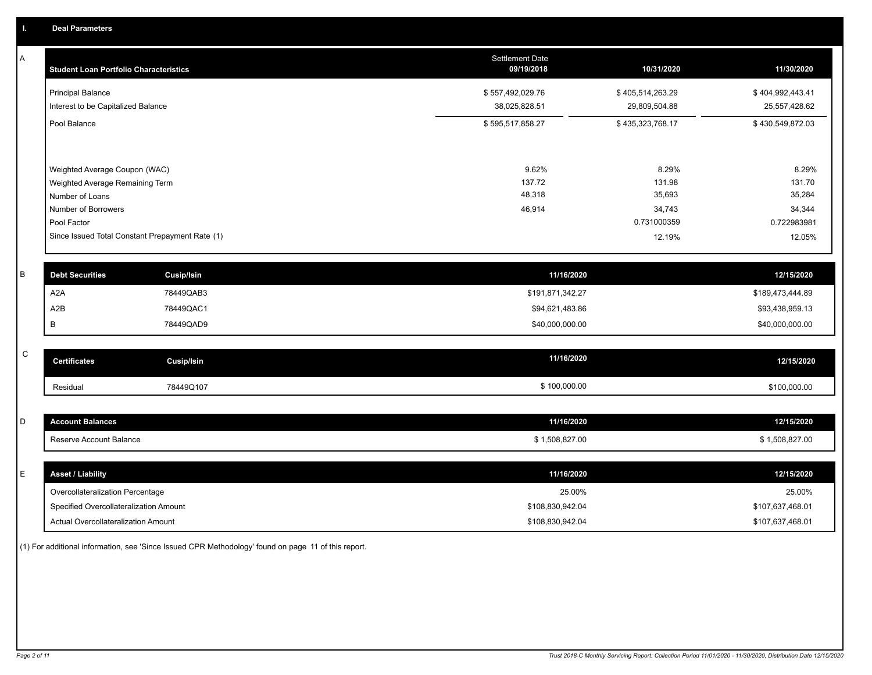| A           | <b>Student Loan Portfolio Characteristics</b>   | Settlement Date<br>09/19/2018 | 10/31/2020       | 11/30/2020       |
|-------------|-------------------------------------------------|-------------------------------|------------------|------------------|
|             | <b>Principal Balance</b>                        | \$557,492,029.76              | \$405,514,263.29 | \$404,992,443.41 |
|             | Interest to be Capitalized Balance              | 38,025,828.51                 | 29,809,504.88    | 25,557,428.62    |
|             | Pool Balance                                    | \$595,517,858.27              | \$435,323,768.17 | \$430,549,872.03 |
|             | Weighted Average Coupon (WAC)                   | 9.62%                         | 8.29%            | 8.29%            |
|             | Weighted Average Remaining Term                 | 137.72                        | 131.98           | 131.70           |
|             | Number of Loans                                 | 48,318                        | 35,693           | 35,284           |
|             | Number of Borrowers                             | 46,914                        | 34,743           | 34,344           |
|             | Pool Factor                                     |                               | 0.731000359      | 0.722983981      |
|             | Since Issued Total Constant Prepayment Rate (1) |                               | 12.19%           | 12.05%           |
| $\mathsf B$ | <b>Debt Securities</b><br><b>Cusip/Isin</b>     | 11/16/2020                    |                  | 12/15/2020       |
|             | A <sub>2</sub> A<br>78449QAB3                   | \$191,871,342.27              |                  | \$189,473,444.89 |
|             | A <sub>2</sub> B<br>78449QAC1                   | \$94,621,483.86               |                  | \$93,438,959.13  |
|             | В<br>78449QAD9                                  | \$40,000,000.00               |                  | \$40,000,000.00  |
| $\mathsf C$ |                                                 | 11/16/2020                    |                  |                  |
|             | <b>Certificates</b><br><b>Cusip/Isin</b>        |                               |                  | 12/15/2020       |
|             | Residual<br>78449Q107                           | \$100,000.00                  |                  | \$100,000.00     |
|             |                                                 |                               |                  |                  |
| D           | <b>Account Balances</b>                         | 11/16/2020                    |                  | 12/15/2020       |
|             | Reserve Account Balance                         | \$1,508,827.00                |                  | \$1,508,827.00   |
| E           |                                                 | 11/16/2020                    |                  | 12/15/2020       |
|             | <b>Asset / Liability</b>                        |                               |                  |                  |
|             | Overcollateralization Percentage                | 25.00%                        |                  | 25.00%           |
|             | Specified Overcollateralization Amount          | \$108,830,942.04              |                  | \$107,637,468.01 |
|             | Actual Overcollateralization Amount             | \$108,830,942.04              |                  | \$107,637,468.01 |

(1) For additional information, see 'Since Issued CPR Methodology' found on page 11 of this report.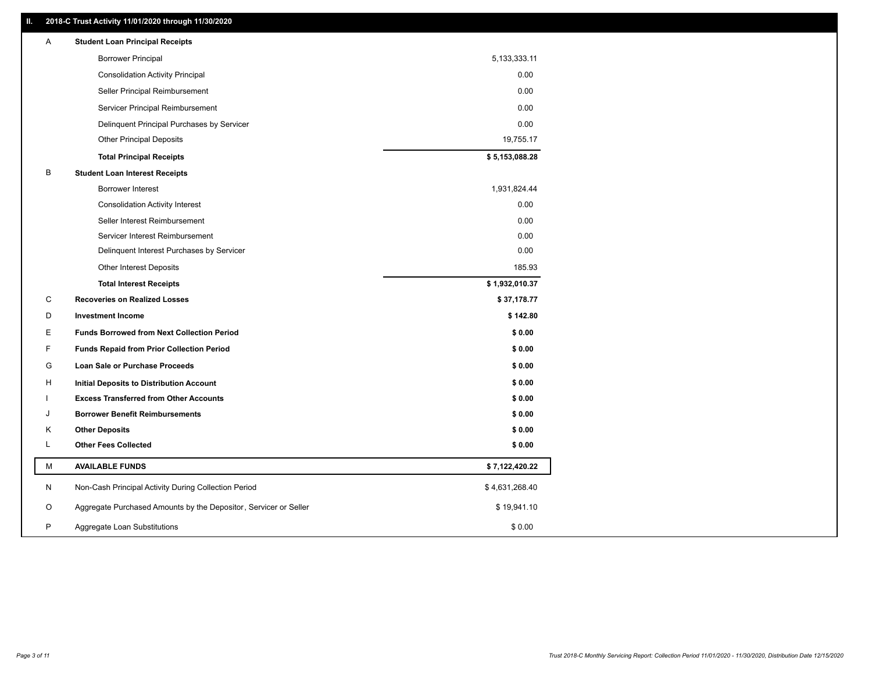# **II. 2018-C Trust Activity 11/01/2020 through 11/30/2020**

| <b>Borrower Principal</b><br>5,133,333.11<br><b>Consolidation Activity Principal</b><br>0.00<br>0.00<br>Seller Principal Reimbursement<br>0.00<br>Servicer Principal Reimbursement<br>Delinquent Principal Purchases by Servicer<br>0.00<br><b>Other Principal Deposits</b><br>19,755.17<br>\$5,153,088.28<br><b>Total Principal Receipts</b><br>B<br><b>Student Loan Interest Receipts</b><br><b>Borrower Interest</b><br>1,931,824.44<br>0.00<br><b>Consolidation Activity Interest</b><br>0.00<br>Seller Interest Reimbursement<br>0.00<br>Servicer Interest Reimbursement<br>Delinquent Interest Purchases by Servicer<br>0.00<br>185.93<br><b>Other Interest Deposits</b><br><b>Total Interest Receipts</b><br>\$1,932,010.37<br>С<br><b>Recoveries on Realized Losses</b><br>\$37,178.77<br>\$142.80<br>D<br><b>Investment Income</b> |  |
|---------------------------------------------------------------------------------------------------------------------------------------------------------------------------------------------------------------------------------------------------------------------------------------------------------------------------------------------------------------------------------------------------------------------------------------------------------------------------------------------------------------------------------------------------------------------------------------------------------------------------------------------------------------------------------------------------------------------------------------------------------------------------------------------------------------------------------------------|--|
|                                                                                                                                                                                                                                                                                                                                                                                                                                                                                                                                                                                                                                                                                                                                                                                                                                             |  |
|                                                                                                                                                                                                                                                                                                                                                                                                                                                                                                                                                                                                                                                                                                                                                                                                                                             |  |
|                                                                                                                                                                                                                                                                                                                                                                                                                                                                                                                                                                                                                                                                                                                                                                                                                                             |  |
|                                                                                                                                                                                                                                                                                                                                                                                                                                                                                                                                                                                                                                                                                                                                                                                                                                             |  |
|                                                                                                                                                                                                                                                                                                                                                                                                                                                                                                                                                                                                                                                                                                                                                                                                                                             |  |
|                                                                                                                                                                                                                                                                                                                                                                                                                                                                                                                                                                                                                                                                                                                                                                                                                                             |  |
|                                                                                                                                                                                                                                                                                                                                                                                                                                                                                                                                                                                                                                                                                                                                                                                                                                             |  |
|                                                                                                                                                                                                                                                                                                                                                                                                                                                                                                                                                                                                                                                                                                                                                                                                                                             |  |
|                                                                                                                                                                                                                                                                                                                                                                                                                                                                                                                                                                                                                                                                                                                                                                                                                                             |  |
|                                                                                                                                                                                                                                                                                                                                                                                                                                                                                                                                                                                                                                                                                                                                                                                                                                             |  |
|                                                                                                                                                                                                                                                                                                                                                                                                                                                                                                                                                                                                                                                                                                                                                                                                                                             |  |
|                                                                                                                                                                                                                                                                                                                                                                                                                                                                                                                                                                                                                                                                                                                                                                                                                                             |  |
|                                                                                                                                                                                                                                                                                                                                                                                                                                                                                                                                                                                                                                                                                                                                                                                                                                             |  |
|                                                                                                                                                                                                                                                                                                                                                                                                                                                                                                                                                                                                                                                                                                                                                                                                                                             |  |
|                                                                                                                                                                                                                                                                                                                                                                                                                                                                                                                                                                                                                                                                                                                                                                                                                                             |  |
|                                                                                                                                                                                                                                                                                                                                                                                                                                                                                                                                                                                                                                                                                                                                                                                                                                             |  |
|                                                                                                                                                                                                                                                                                                                                                                                                                                                                                                                                                                                                                                                                                                                                                                                                                                             |  |
| Е<br><b>Funds Borrowed from Next Collection Period</b><br>\$0.00                                                                                                                                                                                                                                                                                                                                                                                                                                                                                                                                                                                                                                                                                                                                                                            |  |
| F<br><b>Funds Repaid from Prior Collection Period</b><br>\$0.00                                                                                                                                                                                                                                                                                                                                                                                                                                                                                                                                                                                                                                                                                                                                                                             |  |
| G<br>Loan Sale or Purchase Proceeds<br>\$0.00                                                                                                                                                                                                                                                                                                                                                                                                                                                                                                                                                                                                                                                                                                                                                                                               |  |
| \$0.00<br>H<br>Initial Deposits to Distribution Account                                                                                                                                                                                                                                                                                                                                                                                                                                                                                                                                                                                                                                                                                                                                                                                     |  |
| \$0.00<br><b>Excess Transferred from Other Accounts</b>                                                                                                                                                                                                                                                                                                                                                                                                                                                                                                                                                                                                                                                                                                                                                                                     |  |
| <b>Borrower Benefit Reimbursements</b><br>\$0.00<br>J                                                                                                                                                                                                                                                                                                                                                                                                                                                                                                                                                                                                                                                                                                                                                                                       |  |
| \$0.00<br>Κ<br><b>Other Deposits</b>                                                                                                                                                                                                                                                                                                                                                                                                                                                                                                                                                                                                                                                                                                                                                                                                        |  |
| L<br><b>Other Fees Collected</b><br>\$0.00                                                                                                                                                                                                                                                                                                                                                                                                                                                                                                                                                                                                                                                                                                                                                                                                  |  |
| М<br><b>AVAILABLE FUNDS</b><br>\$7,122,420.22                                                                                                                                                                                                                                                                                                                                                                                                                                                                                                                                                                                                                                                                                                                                                                                               |  |
| Non-Cash Principal Activity During Collection Period<br>\$4,631,268.40<br>N                                                                                                                                                                                                                                                                                                                                                                                                                                                                                                                                                                                                                                                                                                                                                                 |  |
| Aggregate Purchased Amounts by the Depositor, Servicer or Seller<br>O<br>\$19,941.10                                                                                                                                                                                                                                                                                                                                                                                                                                                                                                                                                                                                                                                                                                                                                        |  |
| P<br>\$0.00<br>Aggregate Loan Substitutions                                                                                                                                                                                                                                                                                                                                                                                                                                                                                                                                                                                                                                                                                                                                                                                                 |  |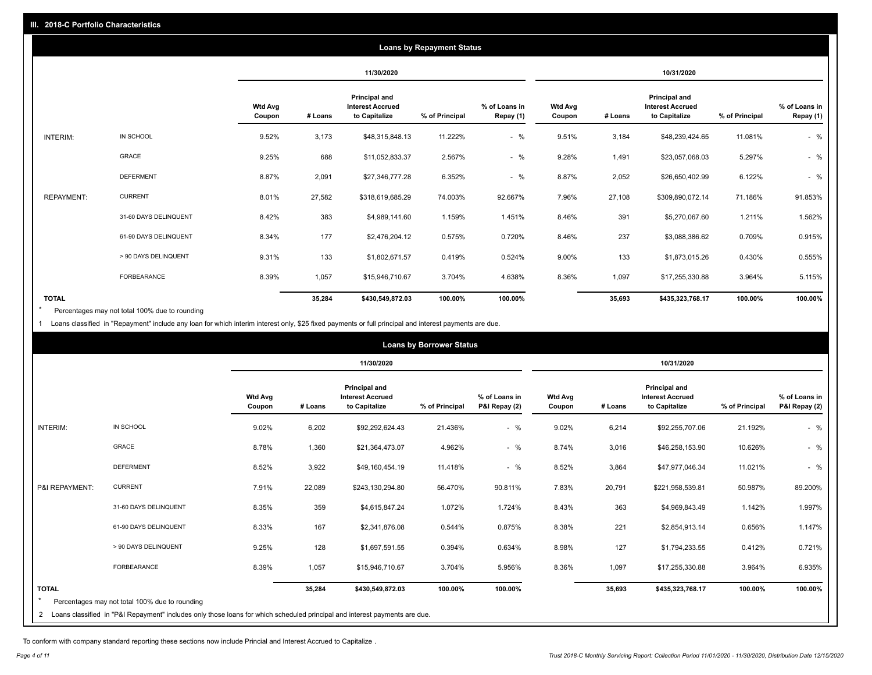|                   |                       |                          |         |                                                           | <b>Loans by Repayment Status</b> |                            |                          |         |                                                                  |                |                            |
|-------------------|-----------------------|--------------------------|---------|-----------------------------------------------------------|----------------------------------|----------------------------|--------------------------|---------|------------------------------------------------------------------|----------------|----------------------------|
|                   |                       |                          |         | 11/30/2020                                                |                                  |                            |                          |         | 10/31/2020                                                       |                |                            |
|                   |                       | <b>Wtd Avg</b><br>Coupon | # Loans | Principal and<br><b>Interest Accrued</b><br>to Capitalize | % of Principal                   | % of Loans in<br>Repay (1) | <b>Wtd Avg</b><br>Coupon | # Loans | <b>Principal and</b><br><b>Interest Accrued</b><br>to Capitalize | % of Principal | % of Loans in<br>Repay (1) |
| INTERIM:          | IN SCHOOL             | 9.52%                    | 3,173   | \$48,315,848.13                                           | 11.222%                          | $-$ %                      | 9.51%                    | 3,184   | \$48,239,424.65                                                  | 11.081%        | $-$ %                      |
|                   | GRACE                 | 9.25%                    | 688     | \$11,052,833.37                                           | 2.567%                           | $-$ %                      | 9.28%                    | 1,491   | \$23,057,068.03                                                  | 5.297%         | $-$ %                      |
|                   | <b>DEFERMENT</b>      | 8.87%                    | 2,091   | \$27,346,777.28                                           | 6.352%                           | $-$ %                      | 8.87%                    | 2,052   | \$26,650,402.99                                                  | 6.122%         | $-$ %                      |
| <b>REPAYMENT:</b> | <b>CURRENT</b>        | 8.01%                    | 27,582  | \$318,619,685.29                                          | 74.003%                          | 92.667%                    | 7.96%                    | 27,108  | \$309,890,072.14                                                 | 71.186%        | 91.853%                    |
|                   | 31-60 DAYS DELINQUENT | 8.42%                    | 383     | \$4,989,141.60                                            | 1.159%                           | 1.451%                     | 8.46%                    | 391     | \$5,270,067.60                                                   | 1.211%         | 1.562%                     |
|                   | 61-90 DAYS DELINQUENT | 8.34%                    | 177     | \$2,476,204.12                                            | 0.575%                           | 0.720%                     | 8.46%                    | 237     | \$3,088,386.62                                                   | 0.709%         | 0.915%                     |
|                   | > 90 DAYS DELINQUENT  | 9.31%                    | 133     | \$1,802,671.57                                            | 0.419%                           | 0.524%                     | 9.00%                    | 133     | \$1,873,015.26                                                   | 0.430%         | 0.555%                     |
|                   | <b>FORBEARANCE</b>    | 8.39%                    | 1,057   | \$15,946,710.67                                           | 3.704%                           | 4.638%                     | 8.36%                    | 1,097   | \$17,255,330.88                                                  | 3.964%         | 5.115%                     |
| <b>TOTAL</b>      |                       |                          | 35,284  | \$430,549,872.03                                          | 100.00%                          | 100.00%                    |                          | 35,693  | \$435,323,768.17                                                 | 100.00%        | 100.00%                    |

Percentages may not total 100% due to rounding \*

1 Loans classified in "Repayment" include any loan for which interim interest only, \$25 fixed payments or full principal and interest payments are due.

|                                                                                                                                                                                                                |                          |            |                                                           | <b>Loans by Borrower Status</b> |                                |                          |         |                                                                  |                |                                |
|----------------------------------------------------------------------------------------------------------------------------------------------------------------------------------------------------------------|--------------------------|------------|-----------------------------------------------------------|---------------------------------|--------------------------------|--------------------------|---------|------------------------------------------------------------------|----------------|--------------------------------|
|                                                                                                                                                                                                                |                          | 11/30/2020 |                                                           |                                 | 10/31/2020                     |                          |         |                                                                  |                |                                |
|                                                                                                                                                                                                                | <b>Wtd Avg</b><br>Coupon | # Loans    | Principal and<br><b>Interest Accrued</b><br>to Capitalize | % of Principal                  | % of Loans in<br>P&I Repay (2) | <b>Wtd Avg</b><br>Coupon | # Loans | <b>Principal and</b><br><b>Interest Accrued</b><br>to Capitalize | % of Principal | % of Loans in<br>P&I Repay (2) |
| IN SCHOOL<br>INTERIM:                                                                                                                                                                                          | 9.02%                    | 6,202      | \$92,292,624.43                                           | 21.436%                         | $-$ %                          | 9.02%                    | 6,214   | \$92,255,707.06                                                  | 21.192%        | $-$ %                          |
| <b>GRACE</b>                                                                                                                                                                                                   | 8.78%                    | 1,360      | \$21,364,473.07                                           | 4.962%                          | $-$ %                          | 8.74%                    | 3,016   | \$46,258,153.90                                                  | 10.626%        | $-$ %                          |
| <b>DEFERMENT</b>                                                                                                                                                                                               | 8.52%                    | 3,922      | \$49,160,454.19                                           | 11.418%                         | $-$ %                          | 8.52%                    | 3,864   | \$47,977,046.34                                                  | 11.021%        | $-$ %                          |
| <b>CURRENT</b><br>P&I REPAYMENT:                                                                                                                                                                               | 7.91%                    | 22,089     | \$243,130,294.80                                          | 56.470%                         | 90.811%                        | 7.83%                    | 20,791  | \$221,958,539.81                                                 | 50.987%        | 89.200%                        |
| 31-60 DAYS DELINQUENT                                                                                                                                                                                          | 8.35%                    | 359        | \$4,615,847.24                                            | 1.072%                          | 1.724%                         | 8.43%                    | 363     | \$4,969,843.49                                                   | 1.142%         | 1.997%                         |
| 61-90 DAYS DELINQUENT                                                                                                                                                                                          | 8.33%                    | 167        | \$2,341,876.08                                            | 0.544%                          | 0.875%                         | 8.38%                    | 221     | \$2,854,913.14                                                   | 0.656%         | 1.147%                         |
| > 90 DAYS DELINQUENT                                                                                                                                                                                           | 9.25%                    | 128        | \$1,697,591.55                                            | 0.394%                          | 0.634%                         | 8.98%                    | 127     | \$1,794,233.55                                                   | 0.412%         | 0.721%                         |
| FORBEARANCE                                                                                                                                                                                                    | 8.39%                    | 1,057      | \$15,946,710.67                                           | 3.704%                          | 5.956%                         | 8.36%                    | 1,097   | \$17,255,330.88                                                  | 3.964%         | 6.935%                         |
| <b>TOTAL</b><br>Percentages may not total 100% due to rounding<br>$\overline{2}$<br>Loans classified in "P&I Repayment" includes only those loans for which scheduled principal and interest payments are due. |                          | 35,284     | \$430,549,872.03                                          | 100.00%                         | 100.00%                        |                          | 35,693  | \$435,323,768.17                                                 | 100.00%        | 100.00%                        |

To conform with company standard reporting these sections now include Princial and Interest Accrued to Capitalize .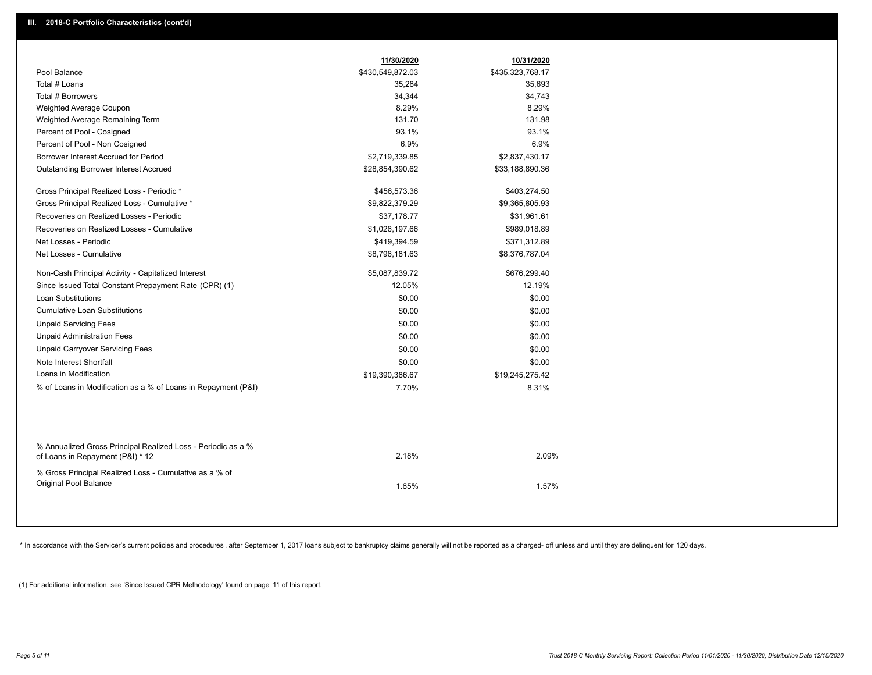|                                                               | 11/30/2020       | 10/31/2020       |
|---------------------------------------------------------------|------------------|------------------|
| Pool Balance                                                  | \$430,549,872.03 | \$435,323,768.17 |
| Total # Loans                                                 | 35,284           | 35,693           |
| Total # Borrowers                                             | 34,344           | 34,743           |
| Weighted Average Coupon                                       | 8.29%            | 8.29%            |
| Weighted Average Remaining Term                               | 131.70           | 131.98           |
| Percent of Pool - Cosigned                                    | 93.1%            | 93.1%            |
| Percent of Pool - Non Cosigned                                | 6.9%             | 6.9%             |
| Borrower Interest Accrued for Period                          | \$2,719,339.85   | \$2,837,430.17   |
| Outstanding Borrower Interest Accrued                         | \$28,854,390.62  | \$33,188,890.36  |
|                                                               | \$456,573.36     | \$403,274.50     |
| Gross Principal Realized Loss - Periodic *                    |                  |                  |
| Gross Principal Realized Loss - Cumulative *                  | \$9,822,379.29   | \$9,365,805.93   |
| Recoveries on Realized Losses - Periodic                      | \$37,178.77      | \$31,961.61      |
| Recoveries on Realized Losses - Cumulative                    | \$1,026,197.66   | \$989,018.89     |
| Net Losses - Periodic                                         | \$419,394.59     | \$371,312.89     |
| Net Losses - Cumulative                                       | \$8,796,181.63   | \$8,376,787.04   |
| Non-Cash Principal Activity - Capitalized Interest            | \$5,087,839.72   | \$676,299.40     |
| Since Issued Total Constant Prepayment Rate (CPR) (1)         | 12.05%           | 12.19%           |
| <b>Loan Substitutions</b>                                     | \$0.00           | \$0.00           |
| <b>Cumulative Loan Substitutions</b>                          | \$0.00           | \$0.00           |
| <b>Unpaid Servicing Fees</b>                                  | \$0.00           | \$0.00           |
| <b>Unpaid Administration Fees</b>                             | \$0.00           | \$0.00           |
| <b>Unpaid Carryover Servicing Fees</b>                        | \$0.00           | \$0.00           |
| Note Interest Shortfall                                       | \$0.00           | \$0.00           |
| Loans in Modification                                         | \$19,390,386.67  | \$19,245,275.42  |
| % of Loans in Modification as a % of Loans in Repayment (P&I) | 7.70%            | 8.31%            |
|                                                               |                  |                  |
|                                                               |                  |                  |
| % Annualized Gross Principal Realized Loss - Periodic as a %  |                  |                  |
| of Loans in Repayment (P&I) * 12                              | 2.18%            | 2.09%            |
| % Gross Principal Realized Loss - Cumulative as a % of        |                  |                  |
| Original Pool Balance                                         | 1.65%            | 1.57%            |
|                                                               |                  |                  |

\* In accordance with the Servicer's current policies and procedures, after September 1, 2017 loans subject to bankruptcy claims generally will not be reported as a charged- off unless and until they are delinquent for 120

(1) For additional information, see 'Since Issued CPR Methodology' found on page 11 of this report.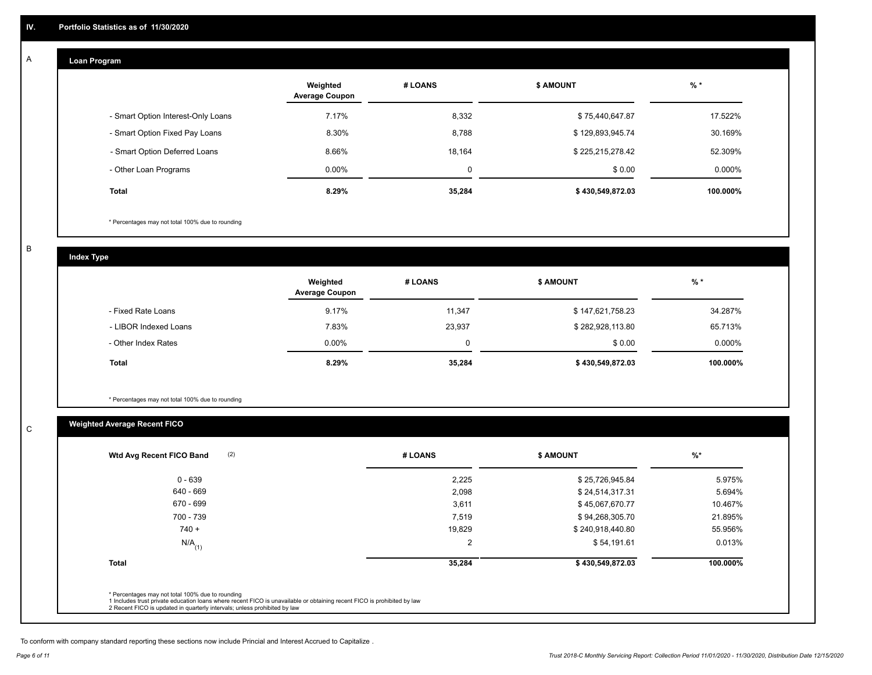#### **Loan Program**  A

|                                    | Weighted<br><b>Average Coupon</b> | # LOANS  | <b>\$ AMOUNT</b> | $%$ *    |
|------------------------------------|-----------------------------------|----------|------------------|----------|
| - Smart Option Interest-Only Loans | 7.17%                             | 8,332    | \$75,440,647.87  | 17.522%  |
| - Smart Option Fixed Pay Loans     | 8.30%                             | 8,788    | \$129,893,945.74 | 30.169%  |
| - Smart Option Deferred Loans      | 8.66%                             | 18.164   | \$225,215,278.42 | 52.309%  |
| - Other Loan Programs              | $0.00\%$                          | $\Omega$ | \$0.00           | 0.000%   |
| <b>Total</b>                       | 8.29%                             | 35,284   | \$430,549,872.03 | 100.000% |

\* Percentages may not total 100% due to rounding

B

C

**Index Type**

|                       | Weighted<br><b>Average Coupon</b> | # LOANS | <b>S AMOUNT</b>  | $%$ *     |
|-----------------------|-----------------------------------|---------|------------------|-----------|
| - Fixed Rate Loans    | 9.17%                             | 11,347  | \$147,621,758.23 | 34.287%   |
| - LIBOR Indexed Loans | 7.83%                             | 23,937  | \$282,928,113.80 | 65.713%   |
| - Other Index Rates   | $0.00\%$                          |         | \$0.00           | $0.000\%$ |
| Total                 | 8.29%                             | 35,284  | \$430,549,872.03 | 100.000%  |

\* Percentages may not total 100% due to rounding

# **Weighted Average Recent FICO**

| 2,225  | \$25,726,945.84  | 5.975%   |
|--------|------------------|----------|
| 2,098  | \$24,514,317.31  | 5.694%   |
| 3,611  | \$45,067,670.77  | 10.467%  |
| 7,519  | \$94,268,305.70  | 21.895%  |
| 19,829 | \$240,918,440.80 | 55.956%  |
| 2      | \$54,191.61      | 0.013%   |
| 35,284 | \$430,549,872.03 | 100.000% |
|        |                  |          |

To conform with company standard reporting these sections now include Princial and Interest Accrued to Capitalize .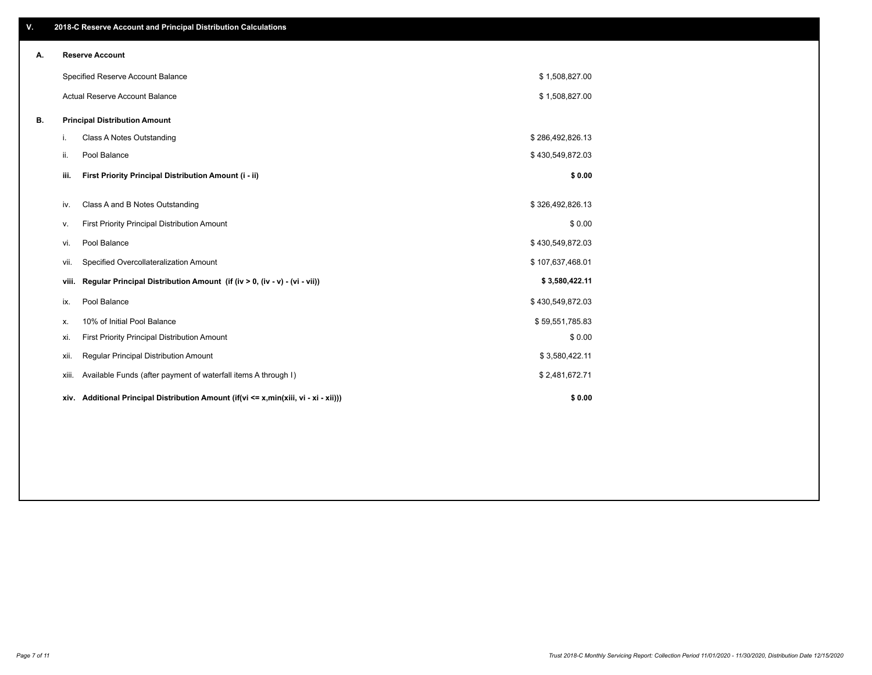| V. |     |       | 2018-C Reserve Account and Principal Distribution Calculations                       |                  |  |
|----|-----|-------|--------------------------------------------------------------------------------------|------------------|--|
| Α. |     |       | <b>Reserve Account</b>                                                               |                  |  |
|    |     |       | Specified Reserve Account Balance                                                    | \$1,508,827.00   |  |
|    |     |       | Actual Reserve Account Balance                                                       | \$1,508,827.00   |  |
| В. |     |       | <b>Principal Distribution Amount</b>                                                 |                  |  |
|    | i.  |       | Class A Notes Outstanding                                                            | \$286,492,826.13 |  |
|    | ii. |       | Pool Balance                                                                         | \$430,549,872.03 |  |
|    |     | iii.  | First Priority Principal Distribution Amount (i - ii)                                | \$0.00           |  |
|    |     | iv.   | Class A and B Notes Outstanding                                                      | \$326,492,826.13 |  |
|    |     | ν.    | First Priority Principal Distribution Amount                                         | \$0.00           |  |
|    |     | vi.   | Pool Balance                                                                         | \$430,549,872.03 |  |
|    |     | Vii.  | Specified Overcollateralization Amount                                               | \$107,637,468.01 |  |
|    |     | viii. | Regular Principal Distribution Amount (if (iv > 0, (iv - v) - (vi - vii))            | \$3,580,422.11   |  |
|    |     | ix.   | Pool Balance                                                                         | \$430,549,872.03 |  |
|    | х.  |       | 10% of Initial Pool Balance                                                          | \$59,551,785.83  |  |
|    |     | xi.   | First Priority Principal Distribution Amount                                         | \$0.00           |  |
|    |     | xii.  | Regular Principal Distribution Amount                                                | \$3,580,422.11   |  |
|    |     | xiii. | Available Funds (after payment of waterfall items A through I)                       | \$2,481,672.71   |  |
|    |     |       | xiv. Additional Principal Distribution Amount (if(vi <= x,min(xiii, vi - xi - xii))) | \$0.00           |  |
|    |     |       |                                                                                      |                  |  |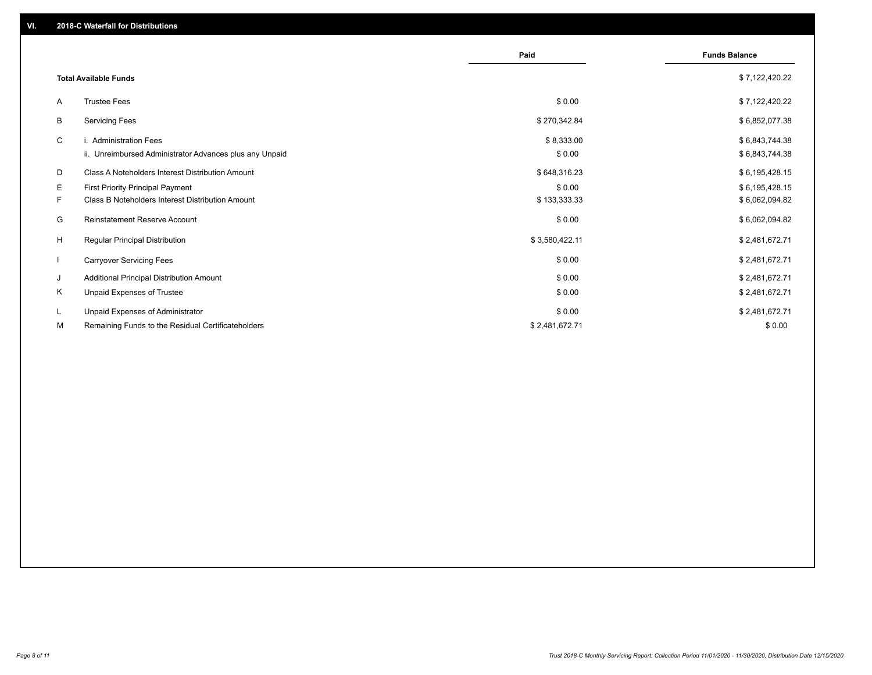|              |                                                                                   | Paid                 | <b>Funds Balance</b>             |
|--------------|-----------------------------------------------------------------------------------|----------------------|----------------------------------|
|              | <b>Total Available Funds</b>                                                      |                      | \$7,122,420.22                   |
| A            | <b>Trustee Fees</b>                                                               | \$0.00               | \$7,122,420.22                   |
| В            | <b>Servicing Fees</b>                                                             | \$270,342.84         | \$6,852,077.38                   |
| C            | i. Administration Fees<br>ii. Unreimbursed Administrator Advances plus any Unpaid | \$8,333.00<br>\$0.00 | \$6,843,744.38<br>\$6,843,744.38 |
| D            | Class A Noteholders Interest Distribution Amount                                  | \$648,316.23         | \$6,195,428.15                   |
| Е            | <b>First Priority Principal Payment</b>                                           | \$0.00               | \$6,195,428.15                   |
| F.           | Class B Noteholders Interest Distribution Amount                                  | \$133,333.33         | \$6,062,094.82                   |
| G            | <b>Reinstatement Reserve Account</b>                                              | \$0.00               | \$6,062,094.82                   |
| H            | <b>Regular Principal Distribution</b>                                             | \$3,580,422.11       | \$2,481,672.71                   |
| $\mathbf{I}$ | <b>Carryover Servicing Fees</b>                                                   | \$0.00               | \$2,481,672.71                   |
| J            | Additional Principal Distribution Amount                                          | \$0.00               | \$2,481,672.71                   |
| Κ            | Unpaid Expenses of Trustee                                                        | \$0.00               | \$2,481,672.71                   |
| L            | Unpaid Expenses of Administrator                                                  | \$0.00               | \$2,481,672.71                   |
| м            | Remaining Funds to the Residual Certificateholders                                | \$2,481,672.71       | \$0.00                           |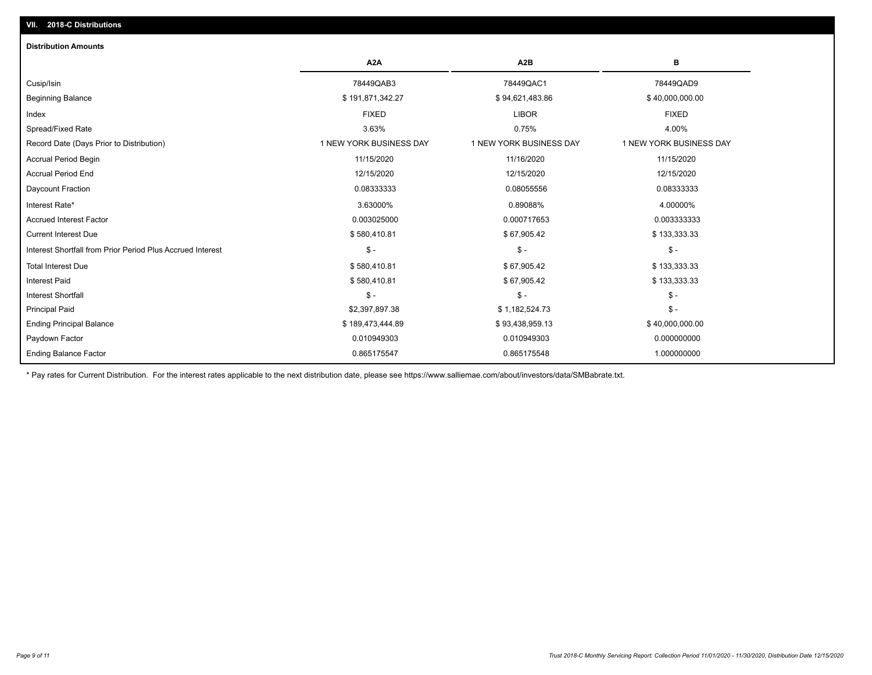| <b>Distribution Amounts</b>                                |                         |                         |                         |
|------------------------------------------------------------|-------------------------|-------------------------|-------------------------|
|                                                            | A <sub>2</sub> A        | A <sub>2</sub> B        | в                       |
| Cusip/Isin                                                 | 78449QAB3               | 78449QAC1               | 78449QAD9               |
| <b>Beginning Balance</b>                                   | \$191,871,342.27        | \$94,621,483.86         | \$40,000,000.00         |
| Index                                                      | <b>FIXED</b>            | <b>LIBOR</b>            | <b>FIXED</b>            |
| Spread/Fixed Rate                                          | 3.63%                   | 0.75%                   | 4.00%                   |
| Record Date (Days Prior to Distribution)                   | 1 NEW YORK BUSINESS DAY | 1 NEW YORK BUSINESS DAY | 1 NEW YORK BUSINESS DAY |
| <b>Accrual Period Begin</b>                                | 11/15/2020              | 11/16/2020              | 11/15/2020              |
| <b>Accrual Period End</b>                                  | 12/15/2020              | 12/15/2020              | 12/15/2020              |
| Daycount Fraction                                          | 0.08333333              | 0.08055556              | 0.08333333              |
| Interest Rate*                                             | 3.63000%                | 0.89088%                | 4.00000%                |
| <b>Accrued Interest Factor</b>                             | 0.003025000             | 0.000717653             | 0.003333333             |
| <b>Current Interest Due</b>                                | \$580,410.81            | \$67,905.42             | \$133,333.33            |
| Interest Shortfall from Prior Period Plus Accrued Interest | $\mathsf{\$}$ -         | $\mathsf{\$}$ -         | $\mathsf{\$}$ -         |
| <b>Total Interest Due</b>                                  | \$580,410.81            | \$67,905.42             | \$133,333.33            |
| <b>Interest Paid</b>                                       | \$580,410.81            | \$67,905.42             | \$133,333.33            |
| <b>Interest Shortfall</b>                                  | $\mathsf{\$}$ -         | $$ -$                   | $$ -$                   |
| <b>Principal Paid</b>                                      | \$2,397,897.38          | \$1,182,524.73          | $$ -$                   |
| <b>Ending Principal Balance</b>                            | \$189,473,444.89        | \$93,438,959.13         | \$40,000,000.00         |
| Paydown Factor                                             | 0.010949303             | 0.010949303             | 0.000000000             |
| <b>Ending Balance Factor</b>                               | 0.865175547             | 0.865175548             | 1.000000000             |

\* Pay rates for Current Distribution. For the interest rates applicable to the next distribution date, please see https://www.salliemae.com/about/investors/data/SMBabrate.txt.

**VII. 2018-C Distributions**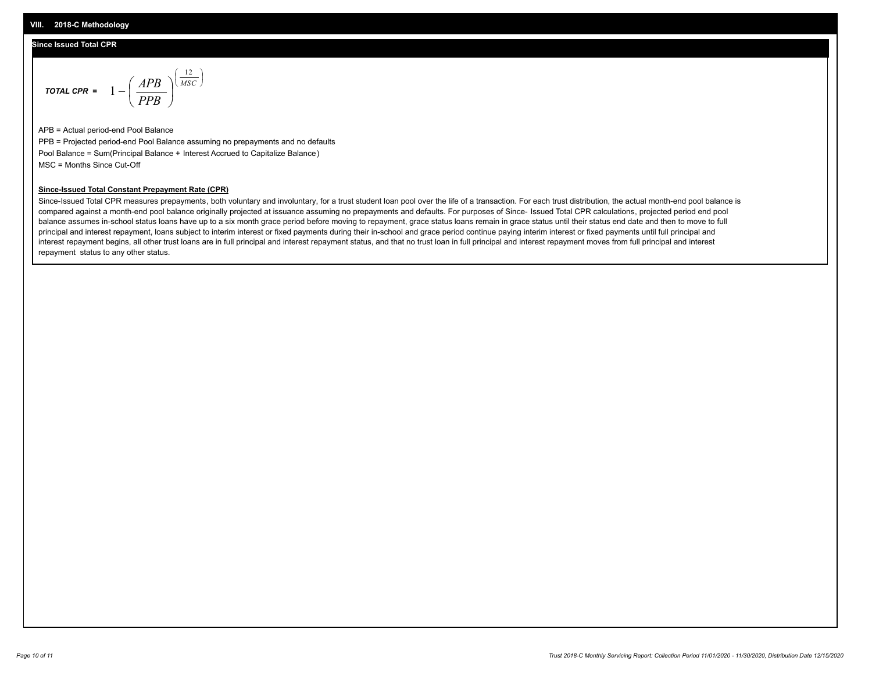## **Since Issued Total CPR**

$$
\text{total CPR} = 1 - \left(\frac{APB}{PPB}\right)^{\left(\frac{12}{MSC}\right)}
$$

APB = Actual period-end Pool Balance PPB = Projected period-end Pool Balance assuming no prepayments and no defaults Pool Balance = Sum(Principal Balance + Interest Accrued to Capitalize Balance) MSC = Months Since Cut-Off

### **Since-Issued Total Constant Prepayment Rate (CPR)**

Since-Issued Total CPR measures prepayments, both voluntary and involuntary, for a trust student loan pool over the life of a transaction. For each trust distribution, the actual month-end pool balance is compared against a month-end pool balance originally projected at issuance assuming no prepayments and defaults. For purposes of Since- Issued Total CPR calculations, projected period end pool balance assumes in-school status loans have up to a six month grace period before moving to repayment, grace status loans remain in grace status until their status end date and then to move to full principal and interest repayment, loans subject to interim interest or fixed payments during their in-school and grace period continue paying interim interest or fixed payments until full principal and interest repayment begins, all other trust loans are in full principal and interest repayment status, and that no trust loan in full principal and interest repayment moves from full principal and interest repayment status to any other status.